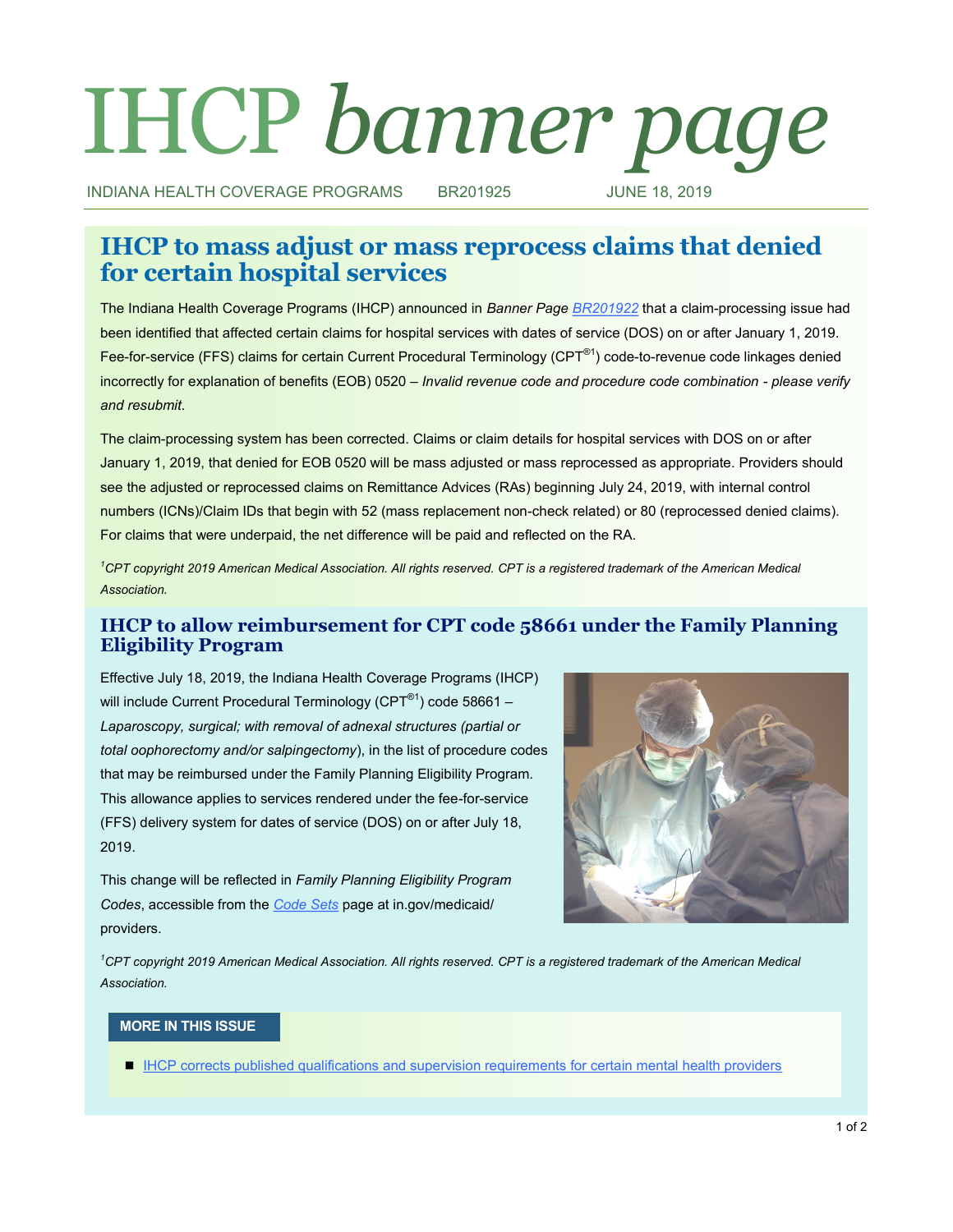# IHCP *banner page*

INDIANA HEALTH COVERAGE PROGRAMS BR201925 JUNE 18, 2019

# **IHCP to mass adjust or mass reprocess claims that denied for certain hospital services**

The Indiana Health Coverage Programs (IHCP) announced in *Banner Page [BR201922](http://provider.indianamedicaid.com/ihcp/Banners/BR201922.pdf)* that a claim-processing issue had been identified that affected certain claims for hospital services with dates of service (DOS) on or after January 1, 2019. Fee-for-service (FFS) claims for certain Current Procedural Terminology (CPT®1) code-to-revenue code linkages denied incorrectly for explanation of benefits (EOB) 0520 – *Invalid revenue code and procedure code combination - please verify and resubmit*.

The claim-processing system has been corrected. Claims or claim details for hospital services with DOS on or after January 1, 2019, that denied for EOB 0520 will be mass adjusted or mass reprocessed as appropriate. Providers should see the adjusted or reprocessed claims on Remittance Advices (RAs) beginning July 24, 2019, with internal control numbers (ICNs)/Claim IDs that begin with 52 (mass replacement non-check related) or 80 (reprocessed denied claims). For claims that were underpaid, the net difference will be paid and reflected on the RA.

*<sup>1</sup>CPT copyright 2019 American Medical Association. All rights reserved. CPT is a registered trademark of the American Medical Association.*

# **IHCP to allow reimbursement for CPT code 58661 under the Family Planning Eligibility Program**

Effective July 18, 2019, the Indiana Health Coverage Programs (IHCP) will include Current Procedural Terminology (CPT<sup>®1</sup>) code 58661 -*Laparoscopy, surgical; with removal of adnexal structures (partial or total oophorectomy and/or salpingectomy*), in the list of procedure codes that may be reimbursed under the Family Planning Eligibility Program. This allowance applies to services rendered under the fee-for-service (FFS) delivery system for dates of service (DOS) on or after July 18, 2019.

This change will be reflected in *Family Planning Eligibility Program Codes*, accessible from the *[Code Sets](https://www.in.gov/medicaid/providers/693.htm)* page at in.gov/medicaid/ providers.



*<sup>1</sup>CPT copyright 2019 American Medical Association. All rights reserved. CPT is a registered trademark of the American Medical Association.*

# **MORE IN THIS ISSUE**

**[IHCP corrects published qualifications and supervision requirements for certain mental health providers](#page-1-0)**